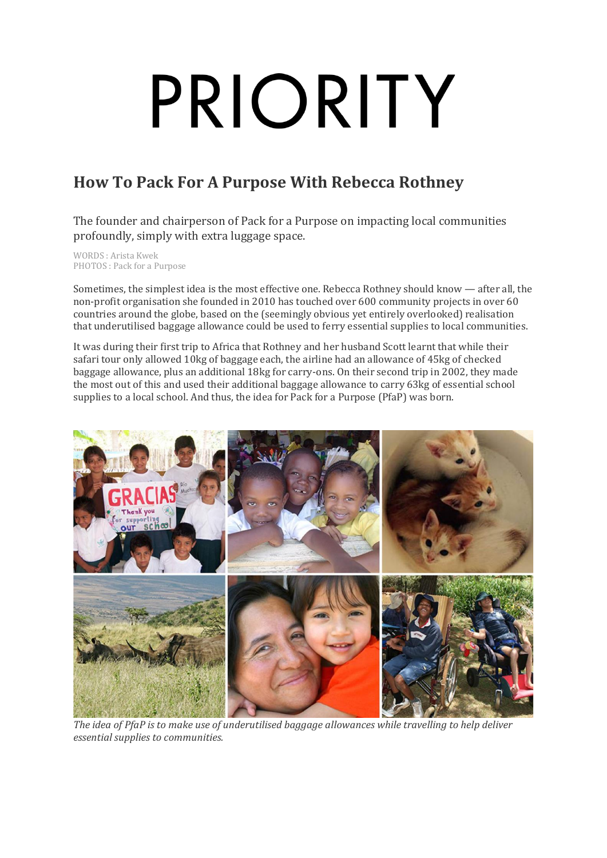# PRIORITY

# **How To Pack For A Purpose With Rebecca Rothney**

The founder and chairperson of Pack for a Purpose on impacting local communities profoundly, simply with extra luggage space.

WORDS : Arista Kwek PHOTOS : Pack for a Purpose

Sometimes, the simplest idea is the most effective one. Rebecca Rothney should know — after all, the non-profit organisation she founded in 2010 has touched over 600 community projects in over 60 countries around the globe, based on the (seemingly obvious yet entirely overlooked) realisation that underutilised baggage allowance could be used to ferry essential supplies to local communities.

It was during their first trip to Africa that Rothney and her husband Scott learnt that while their safari tour only allowed 10kg of baggage each, the airline had an allowance of 45kg of checked baggage allowance, plus an additional 18kg for carry-ons. On their second trip in 2002, they made the most out of this and used their additional baggage allowance to carry 63kg of essential school supplies to a local school. And thus, the idea for Pack for a Purpose (PfaP) was born.



*The idea of PfaP is to make use of underutilised baggage allowances while travelling to help deliver essential supplies to communities.*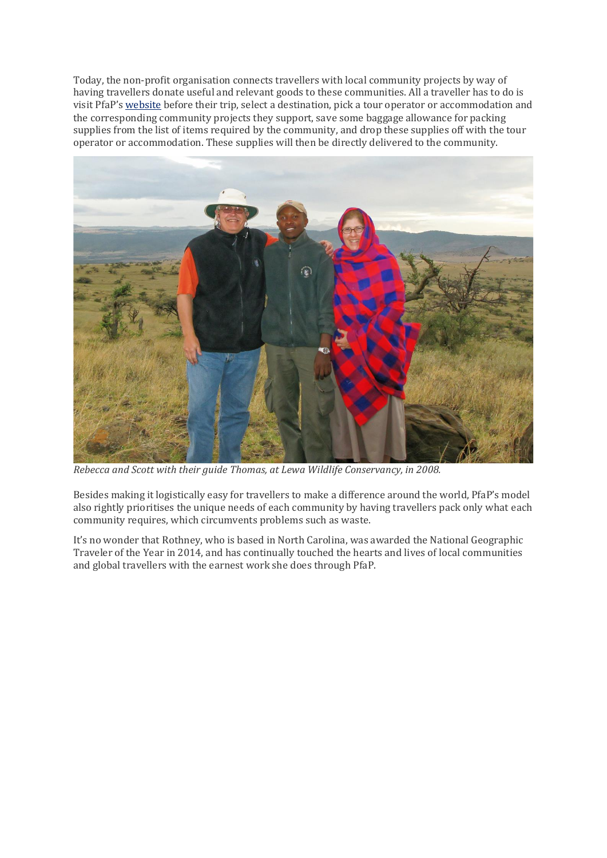Today, the non-profit organisation connects travellers with local community projects by way of having travellers donate useful and relevant goods to these communities. All a traveller has to do is visit PfaP's [website](https://www.packforapurpose.org/participate/as-a-traveler/) before their trip, select a destination, pick a tour operator or accommodation and the corresponding community projects they support, save some baggage allowance for packing supplies from the list of items required by the community, and drop these supplies off with the tour operator or accommodation. These supplies will then be directly delivered to the community.



*Rebecca and Scott with their guide Thomas, at Lewa Wildlife Conservancy, in 2008.*

Besides making it logistically easy for travellers to make a difference around the world, PfaP's model also rightly prioritises the unique needs of each community by having travellers pack only what each community requires, which circumvents problems such as waste.

It's no wonder that Rothney, who is based in North Carolina, was awarded the National Geographic Traveler of the Year in 2014, and has continually touched the hearts and lives of local communities and global travellers with the earnest work she does through PfaP.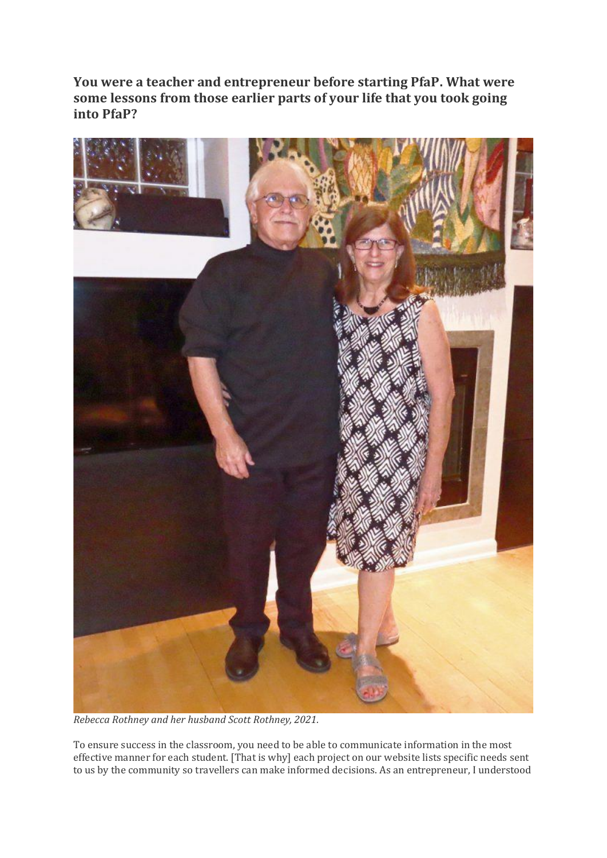**You were a teacher and entrepreneur before starting PfaP. What were some lessons from those earlier parts of your life that you took going into PfaP?**



*Rebecca Rothney and her husband Scott Rothney, 2021.*

To ensure success in the classroom, you need to be able to communicate information in the most effective manner for each student. [That is why] each project on our website lists specific needs sent to us by the community so travellers can make informed decisions. As an entrepreneur, I understood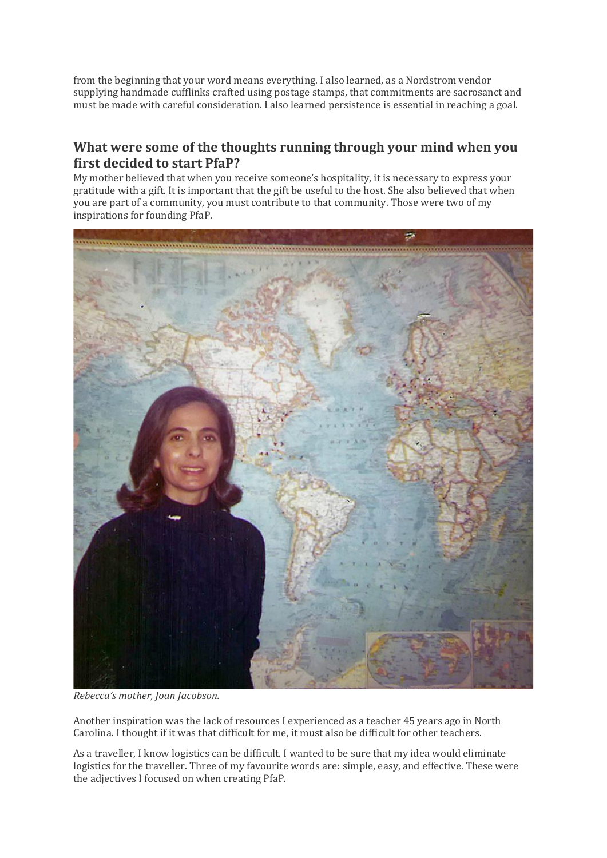from the beginning that your word means everything. I also learned, as a Nordstrom vendor supplying handmade cufflinks crafted using postage stamps, that commitments are sacrosanct and must be made with careful consideration. I also learned persistence is essential in reaching a goal.

#### **What were some of the thoughts running through your mind when you first decided to start PfaP?**

My mother believed that when you receive someone's hospitality, it is necessary to express your gratitude with a gift. It is important that the gift be useful to the host. She also believed that when you are part of a community, you must contribute to that community. Those were two of my inspirations for founding PfaP.



*Rebecca's mother, Joan Jacobson.*

Another inspiration was the lack of resources I experienced as a teacher 45 years ago in North Carolina. I thought if it was that difficult for me, it must also be difficult for other teachers.

As a traveller, I know logistics can be difficult. I wanted to be sure that my idea would eliminate logistics for the traveller. Three of my favourite words are: simple, easy, and effective. These were the adjectives I focused on when creating PfaP.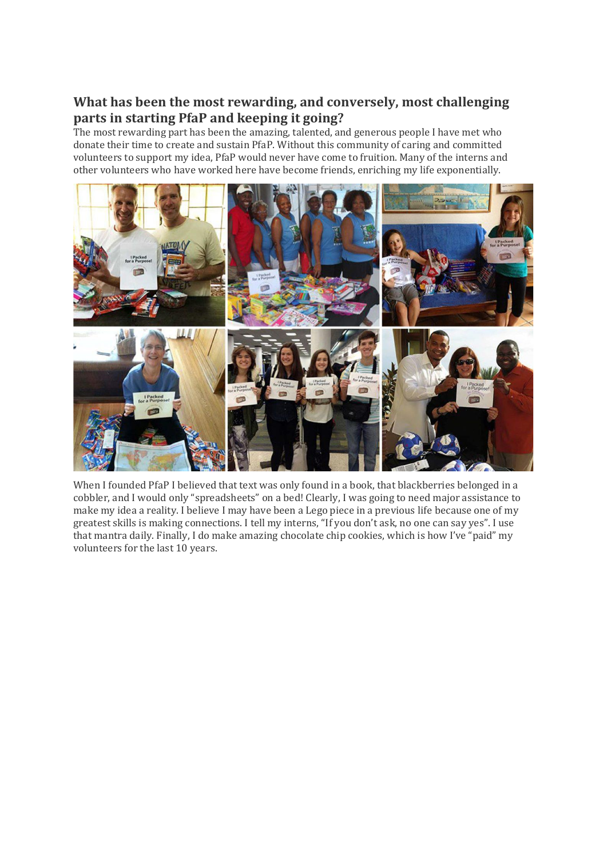## **What has been the most rewarding, and conversely, most challenging parts in starting PfaP and keeping it going?**

The most rewarding part has been the amazing, talented, and generous people I have met who donate their time to create and sustain PfaP. Without this community of caring and committed volunteers to support my idea, PfaP would never have come to fruition. Many of the interns and other volunteers who have worked here have become friends, enriching my life exponentially.



When I founded PfaP I believed that text was only found in a book, that blackberries belonged in a cobbler, and I would only "spreadsheets" on a bed! Clearly, I was going to need major assistance to make my idea a reality. I believe I may have been a Lego piece in a previous life because one of my greatest skills is making connections. I tell my interns, "If you don't ask, no one can say yes". I use that mantra daily. Finally, I do make amazing chocolate chip cookies, which is how I've "paid" my volunteers for the last 10 years.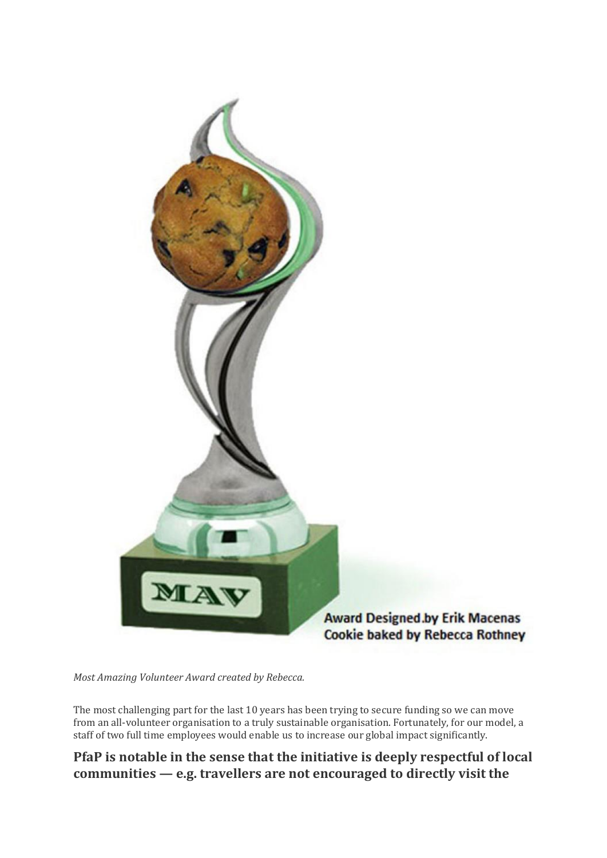

*Most Amazing Volunteer Award created by Rebecca.*

The most challenging part for the last 10 years has been trying to secure funding so we can move from an all-volunteer organisation to a truly sustainable organisation. Fortunately, for our model, a staff of two full time employees would enable us to increase our global impact significantly.

#### **PfaP is notable in the sense that the initiative is deeply respectful of local communities — e.g. travellers are not encouraged to directly visit the**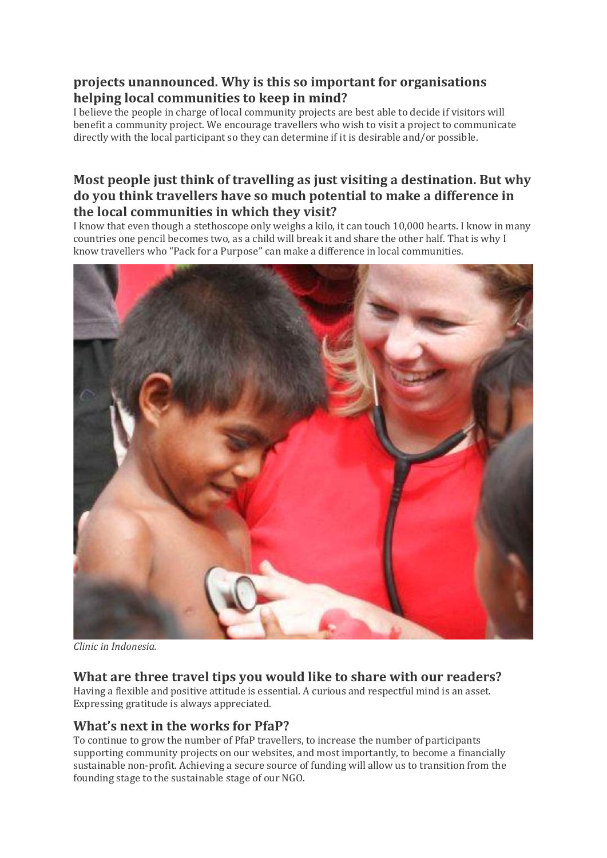### **projects unannounced. Why is this so important for organisations helping local communities to keep in mind?**

I believe the people in charge of local community projects are best able to decide if visitors will benefit a community project. We encourage travellers who wish to visit a project to communicate directly with the local participant so they can determine if it is desirable and/or possible.

#### **Most people just think of travelling as just visiting a destination. But why do you think travellers have so much potential to make a difference in the local communities in which they visit?**

I know that even though a stethoscope only weighs a kilo, it can touch 10,000 hearts. I know in many countries one pencil becomes two, as a child will break it and share the other half. That is why I know travellers who "Pack for a Purpose" can make a difference in local communities.



*Clinic in Indonesia.*

## **What are three travel tips you would like to share with our readers?**

Having a flexible and positive attitude is essential. A curious and respectful mind is an asset. Expressing gratitude is always appreciated.

#### **What's next in the works for PfaP?**

To continue to grow the number of PfaP travellers, to increase the number of participants supporting community projects on our websites, and most importantly, to become a financially sustainable non-profit. Achieving a secure source of funding will allow us to transition from the founding stage to the sustainable stage of our NGO.